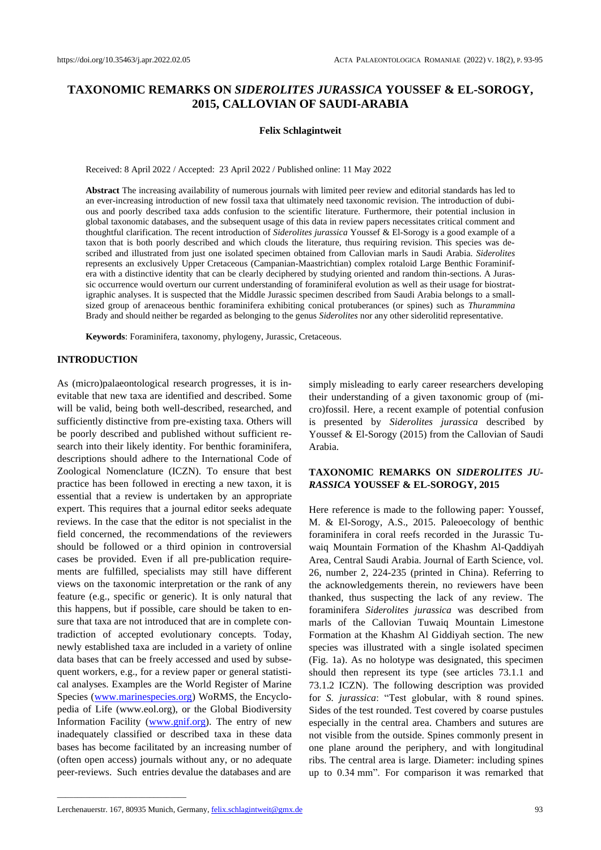# **TAXONOMIC REMARKS ON** *SIDEROLITES JURASSICA* **YOUSSEF & EL-SOROGY, 2015, CALLOVIAN OF SAUDI-ARABIA**

#### **Felix Schlagintweit**

Received: 8 April 2022 / Accepted: 23 April 2022 / Published online: 11 May 2022

**Abstract** The increasing availability of numerous journals with limited peer review and editorial standards has led to an ever-increasing introduction of new fossil taxa that ultimately need taxonomic revision. The introduction of dubious and poorly described taxa adds confusion to the scientific literature. Furthermore, their potential inclusion in global taxonomic databases, and the subsequent usage of this data in review papers necessitates critical comment and thoughtful clarification. The recent introduction of *Siderolites jurassica* Youssef & El-Sorogy is a good example of a taxon that is both poorly described and which clouds the literature, thus requiring revision. This species was described and illustrated from just one isolated specimen obtained from Callovian marls in Saudi Arabia. *Siderolites* represents an exclusively Upper Cretaceous (Campanian-Maastrichtian) complex rotaloid Large Benthic Foraminifera with a distinctive identity that can be clearly deciphered by studying oriented and random thin-sections. A Jurassic occurrence would overturn our current understanding of foraminiferal evolution as well as their usage for biostratigraphic analyses. It is suspected that the Middle Jurassic specimen described from Saudi Arabia belongs to a smallsized group of arenaceous benthic foraminifera exhibiting conical protuberances (or spines) such as *Thurammina* Brady and should neither be regarded as belonging to the genus *Siderolites* nor any other siderolitid representative.

**Keywords**: Foraminifera, taxonomy, phylogeny, Jurassic, Cretaceous.

# **INTRODUCTION**

As (micro)palaeontological research progresses, it is inevitable that new taxa are identified and described. Some will be valid, being both well-described, researched, and sufficiently distinctive from pre-existing taxa. Others will be poorly described and published without sufficient research into their likely identity. For benthic foraminifera, descriptions should adhere to the International Code of Zoological Nomenclature (ICZN). To ensure that best practice has been followed in erecting a new taxon, it is essential that a review is undertaken by an appropriate expert. This requires that a journal editor seeks adequate reviews. In the case that the editor is not specialist in the field concerned, the recommendations of the reviewers should be followed or a third opinion in controversial cases be provided. Even if all pre-publication requirements are fulfilled, specialists may still have different views on the taxonomic interpretation or the rank of any feature (e.g., specific or generic). It is only natural that this happens, but if possible, care should be taken to ensure that taxa are not introduced that are in complete contradiction of accepted evolutionary concepts. Today, newly established taxa are included in a variety of online data bases that can be freely accessed and used by subsequent workers, e.g., for a review paper or general statistical analyses. Examples are the World Register of Marine Species [\(www.marinespecies.org\)](http://www.marinespecies.org/) WoRMS, the Encyclopedia of Life (www.eol.org), or the Global Biodiversity Information Facility [\(www.gnif.org\)](http://www.gnif.org/). The entry of new inadequately classified or described taxa in these data bases has become facilitated by an increasing number of (often open access) journals without any, or no adequate peer-reviews. Such entries devalue the databases and are

simply misleading to early career researchers developing their understanding of a given taxonomic group of (micro)fossil. Here, a recent example of potential confusion is presented by *Siderolites jurassica* described by Youssef & El-Sorogy (2015) from the Callovian of Saudi Arabia.

# **TAXONOMIC REMARKS ON** *SIDEROLITES JU-RASSICA* **YOUSSEF & EL-SOROGY, 2015**

Here reference is made to the following paper: Youssef, M. & El-Sorogy, A.S., 2015. Paleoecology of benthic foraminifera in coral reefs recorded in the Jurassic Tuwaiq Mountain Formation of the Khashm Al-Qaddiyah Area, Central Saudi Arabia. Journal of Earth Science, vol. 26, number 2, 224-235 (printed in China). Referring to the acknowledgements therein, no reviewers have been thanked, thus suspecting the lack of any review. The foraminifera *Siderolites jurassica* was described from marls of the Callovian Tuwaiq Mountain Limestone Formation at the Khashm Al Giddiyah section. The new species was illustrated with a single isolated specimen (Fig. 1a). As no holotype was designated, this specimen should then represent its type (see articles 73.1.1 and 73.1.2 ICZN). The following description was provided for *S. jurassica*: "Test globular, with 8 round spines. Sides of the test rounded. Test covered by coarse pustules especially in the central area. Chambers and sutures are not visible from the outside. Spines commonly present in one plane around the periphery, and with longitudinal ribs. The central area is large. Diameter: including spines up to 0.34 mm". For comparison it was remarked that

\_\_\_\_\_\_\_\_\_\_\_\_\_\_\_\_\_\_\_\_\_\_\_\_\_\_\_\_\_\_\_\_

Lerchenauerstr. 167, 80935 Munich, Germany, <u>felix.schlagintweit@gmx.de</u> 93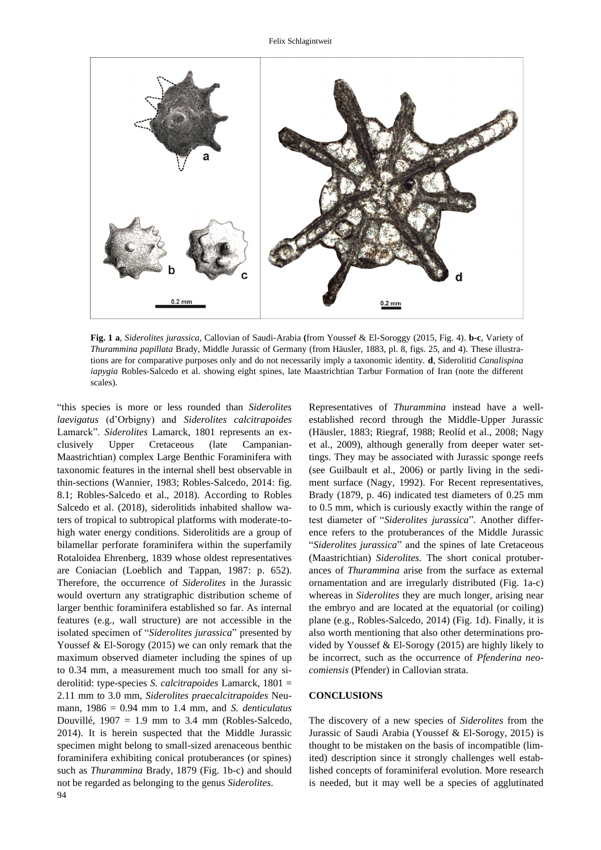

**Fig. 1 a**, *Siderolites jurassica*, Callovian of Saudi-Arabia **(**from Youssef & El-Soroggy (2015, Fig. 4). **b-c**, Variety of *Thurammina papillata* Brady, Middle Jurassic of Germany (from Häusler, 1883, pl. 8, figs. 25, and 4). These illustrations are for comparative purposes only and do not necessarily imply a taxonomic identity. **d**, Siderolitid *Canalispina iapygia* Robles-Salcedo et al. showing eight spines, late Maastrichtian Tarbur Formation of Iran (note the different scales).

94 "this species is more or less rounded than *Siderolites laevigatus* (d'Orbigny) and *Siderolites calcitrapoides* Lamarck". *Siderolites* Lamarck, 1801 represents an exclusively Upper Cretaceous (late Campanian-Maastrichtian) complex Large Benthic Foraminifera with taxonomic features in the internal shell best observable in thin-sections (Wannier, 1983; Robles-Salcedo, 2014: fig. 8.1; Robles-Salcedo et al., 2018). According to Robles Salcedo et al. (2018), siderolitids inhabited shallow waters of tropical to subtropical platforms with moderate-tohigh water energy conditions. Siderolitids are a group of bilamellar perforate foraminifera within the superfamily Rotaloidea Ehrenberg, 1839 whose oldest representatives are Coniacian (Loeblich and Tappan, 1987: p. 652). Therefore, the occurrence of *Siderolites* in the Jurassic would overturn any stratigraphic distribution scheme of larger benthic foraminifera established so far. As internal features (e.g., wall structure) are not accessible in the isolated specimen of "*Siderolites jurassica*" presented by Youssef & El-Sorogy (2015) we can only remark that the maximum observed diameter including the spines of up to 0.34 mm, a measurement much too small for any siderolitid: type-species *S. calcitrapoides* Lamarck, 1801 = 2.11 mm to 3.0 mm, *Siderolites praecalcitrapoides* Neumann, 1986 = 0.94 mm to 1.4 mm, and *S. denticulatus* Douvillé,  $1907 = 1.9$  mm to 3.4 mm (Robles-Salcedo, 2014). It is herein suspected that the Middle Jurassic specimen might belong to small-sized arenaceous benthic foraminifera exhibiting conical protuberances (or spines) such as *Thurammina* Brady, 1879 (Fig. 1b-c) and should not be regarded as belonging to the genus *Siderolites*.

Representatives of *Thurammina* instead have a wellestablished record through the Middle-Upper Jurassic (Häusler, 1883; Riegraf, 1988; Reolíd et al., 2008; Nagy et al., 2009), although generally from deeper water settings. They may be associated with Jurassic sponge reefs (see Guilbault et al., 2006) or partly living in the sediment surface (Nagy, 1992). For Recent representatives, Brady (1879, p. 46) indicated test diameters of 0.25 mm to 0.5 mm, which is curiously exactly within the range of test diameter of "*Siderolites jurassica*". Another difference refers to the protuberances of the Middle Jurassic "*Siderolites jurassica*" and the spines of late Cretaceous (Maastrichtian) *Siderolites.* The short conical protuberances of *Thurammina* arise from the surface as external ornamentation and are irregularly distributed (Fig. 1a-c) whereas in *Siderolites* they are much longer, arising near the embryo and are located at the equatorial (or coiling) plane (e.g., Robles-Salcedo, 2014) (Fig. 1d). Finally, it is also worth mentioning that also other determinations provided by Youssef & El-Sorogy (2015) are highly likely to be incorrect, such as the occurrence of *Pfenderina neocomiensis* (Pfender) in Callovian strata.

# **CONCLUSIONS**

The discovery of a new species of *Siderolites* from the Jurassic of Saudi Arabia (Youssef & El-Sorogy, 2015) is thought to be mistaken on the basis of incompatible (limited) description since it strongly challenges well established concepts of foraminiferal evolution. More research is needed, but it may well be a species of agglutinated